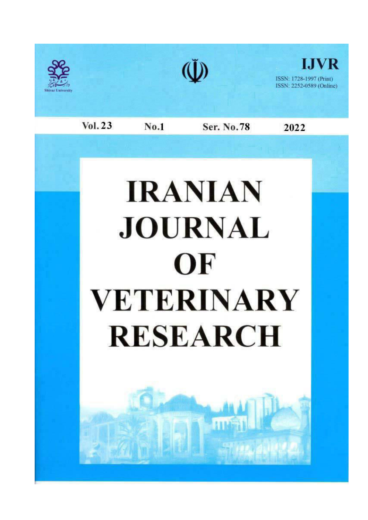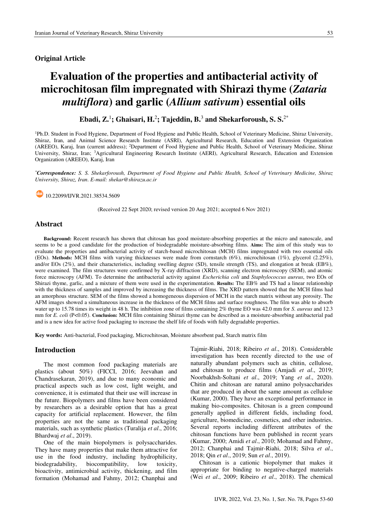# **Original Article**

# Evaluation of the properties and antibacterial activity of microchitosan film impregnated with Shirazi thyme (Zataria multiflora) and garlic (Allium sativum) essential oils

Ebadi,  $\mathbf{Z}^1$ ; Ghaisari, H.<sup>2</sup>; Tajeddin, B.<sup>3</sup> and Shekarforoush, S. S.<sup>2\*</sup>

<sup>1</sup>Ph.D. Student in Food Hygiene, Department of Food Hygiene and Public Health, School of Veterinary Medicine, Shiraz University, Shiraz, Iran, and Animal Science Research Institute (ASRI), Agricultural Research, Education and Extension Organization (AREEO), Karaj, Iran (current address); <sup>2</sup>Department of Food Hygiene and Public Health, School of Veterinary Medicine, Shiraz University, Shiraz, Iran; <sup>3</sup>Agricultural Engineering Research Institute (AERI), Agricultural Research, Education and Extension Organization (AREEO), Karaj, Iran

\*Correspondence: S. S. Shekarforoush, Department of Food Hygiene and Public Health, School of Veterinary Medicine, Shiraz University, Shiraz, Iran. E-mail: shekar@shirazu.ac.ir

10.22099/IJVR.2021.38534.5609

(Received 22 Sept 2020; revised version 20 Aug 2021; accepted 6 Nov 2021)

# **Abstract**

Background: Recent research has shown that chitosan has good moisture-absorbing properties at the micro and nanoscale, and seems to be a good candidate for the production of biodegradable moisture-absorbing films. Aims: The aim of this study was to evaluate the properties and antibacterial activity of starch-based microchitosan (MCH) films impregnated with two essential oils (EOs). Methods: MCH films with varying thicknesses were made from cornstarch  $(6\%)$ , microchitosan  $(1\%)$ , glycerol  $(2.25\%)$ , and/or EOs (2%), and their characteristics, including swelling degree (SD), tensile strength (TS), and elongation at break (EB%), were examined. The film structures were confirmed by X-ray diffraction (XRD), scanning electron microscopy (SEM), and atomic force microscopy (AFM). To determine the antibacterial activity against *Escherichia coli* and *Staphylococcus aureus*, two EOs of Shirazi thyme, garlic, and a mixture of them were used in the experimentation. Results: The EB% and TS had a linear relationship with the thickness of samples and improved by increasing the thickness of films. The XRD pattern showed that the MCH films had an amorphous structure. SEM of the films showed a homogeneous dispersion of MCH in the starch matrix without any porosity. The AFM images showed a simultaneous increase in the thickness of the MCH films and surface roughness. The film was able to absorb water up to 15.78 times its weight in 48 h. The inhibition zone of films containing 2% thyme EO was 42.0 mm for S. aureus and 12.3 mm for E. coli (P<0.05). Conclusion: MCH film containing Shirazi thyme can be described as a moisture-absorbing antibacterial pad and is a new idea for active food packaging to increase the shelf life of foods with fully degradable properties.

Key words: Anti-bacterial, Food packaging, Microchitosan, Moisture absorbent pad, Starch matrix film

# **Introduction**

The most common food packaging materials are plastics (about 50%) (FICCI, 2016; Jeevahan and Chandrasekaran, 2019), and due to many economic and practical aspects such as low cost, light weight, and convenience, it is estimated that their use will increase in the future. Biopolymers and films have been considered by researchers as a desirable option that has a great capacity for artificial replacement. However, the film properties are not the same as traditional packaging materials, such as synthetic plastics (Turalija et al., 2016; Bhardwaj et al., 2019).

One of the main biopolymers is polysaccharides. They have many properties that make them attractive for use in the food industry, including hydrophilicity, biodegradability, biocompatibility, low toxicity. bioactivity, antimicrobial activity, thickening, and film formation (Mohamad and Fahmy, 2012; Chanphai and

Tajmir-Riahi, 2018; Ribeiro et al., 2018). Considerable investigation has been recently directed to the use of naturally abundant polymers such as chitin, cellulose, and chitosan to produce films (Amjadi et al., 2019; Noorbakhsh-Soltani et al., 2019; Yang et al., 2020). Chitin and chitosan are natural amino polysaccharides that are produced in about the same amount as cellulose (Kumar, 2000). They have an exceptional performance in making bio-composites. Chitosan is a green compound generally applied in different fields, including food, agriculture, biomedicine, cosmetics, and other industries. Several reports including different attributes of the chitosan functions have been published in recent years (Kumar, 2000; Amidi et al., 2010; Mohamad and Fahmy, 2012; Chanphai and Tajmir-Riahi, 2018; Silva et al., 2018; Qin et al., 2019; Sun et al., 2019).

Chitosan is a cationic biopolymer that makes it appropriate for binding to negative-charged materials (Wei et al., 2009; Ribeiro et al., 2018). The chemical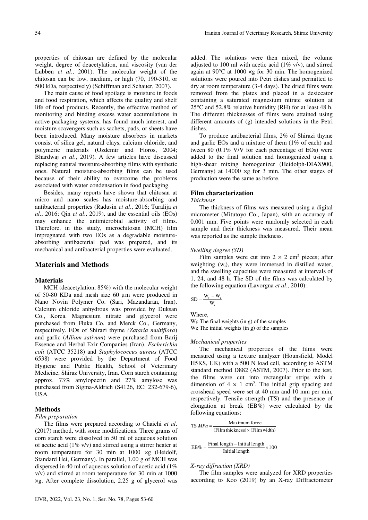properties of chitosan are defined by the molecular weight, degree of deacetylation, and viscosity (van der Lubben et al., 2001). The molecular weight of the chitosan can be low, medium, or high (70, 190-310, or 500 kDa, respectively) (Schiffman and Schauer, 2007).

The main cause of food spoilage is moisture in foods and food respiration, which affects the quality and shelf life of food products. Recently, the effective method of monitoring and binding excess water accumulations in active packaging systems, has found much interest, and moisture scavengers such as sachets, pads, or sheets have been introduced. Many moisture absorbers in markets consist of silica gel, natural clays, calcium chloride, and polymeric materials (Ozdemir and Floros, 2004; Bhardwaj et al., 2019). A few articles have discussed replacing natural moisture-absorbing films with synthetic ones. Natural moisture-absorbing films can be used because of their ability to overcome the problems associated with water condensation in food packaging.

Besides, many reports have shown that chitosan at micro and nano scales has moisture-absorbing and antibacterial properties (Radusin et al., 2016; Turalija et  $al., 2016$ ; Qin et  $al., 2019$ ), and the essential oils (EOs) may enhance the antimicrobial activity of films. Therefore, in this study, microchitosan (MCH) film impregnated with two EOs as a degradable moistureabsorbing antibacterial pad was prepared, and its mechanical and antibacterial properties were evaluated.

## **Materials and Methods**

# **Materials**

MCH (deacetylation, 85%) with the molecular weight of 50-80 KDa and mesh size 60 um were produced in Nano Novin Polymer Co. (Sari, Mazandaran, Iran). Calcium chloride anhydrous was provided by Duksan Co., Korea. Magnesium nitrate and glycerol were purchased from Fluka Co. and Merck Co., Germany, respectively. EOs of Shirazi thyme (Zataria multiflora) and garlic (Allium sativum) were purchased from Barij Essence and Herbal Exir Companies (Iran). *Escherichia* coli (ATCC 35218) and Staphylococcus aureus (ATCC 6538) were provided by the Department of Food Hygiene and Public Health, School of Veterinary Medicine, Shiraz University, Iran. Corn starch containing approx. 73% amylopectin and 27% amylose was purchased from Sigma-Aldrich (S4126, EC: 232-679-6), USA.

# **Methods**

#### Film preparation

The films were prepared according to Chaichi et al.  $(2017)$  method, with some modifications. Three grams of corn starch were dissolved in 50 ml of aqueous solution of acetic acid (1%  $v/v$ ) and stirred using a stirrer heater at room temperature for 30 min at  $1000 \times g$  (Heidolf, Standard Hei, Germany). In parallel, 1.00 g of MCH was dispersed in 40 ml of aqueous solution of acetic acid  $(1\%$  $v/v$ ) and stirred at room temperature for 30 min at 1000  $x$ g. After complete dissolution, 2.25 g of glycerol was added. The solutions were then mixed, the volume adjusted to 100 ml with acetic acid  $(1\% \text{ v/v})$ , and stirred again at 90 $\degree$ C at 1000  $\times$ g for 30 min. The homogenized solutions were poured into Petri dishes and permitted to dry at room temperature (3-4 days). The dried films were removed from the plates and placed in a desiccator containing a saturated magnesium nitrate solution at  $25^{\circ}$ C and 52.8% relative humidity (RH) for at least 48 h. The different thicknesses of films were attained using different amounts of (g) intended solutions in the Petri dishes.

To produce antibacterial films, 2% of Shirazi thyme and garlic EOs and a mixture of them  $(1\% \text{ of each})$  and tween 80 (0.1% V/V for each percentage of EOs) were added to the final solution and homogenized using a high-shear mixing homogenizer (Heidolph-DIAX900, Germany) at  $14000 \times g$  for 3 min. The other stages of production were the same as before.

# **Film characterization**

## **Thickness**

The thickness of films was measured using a digital micrometer (Mitutoyo Co., Japan), with an accuracy of 0.001 mm. Five points were randomly selected in each sample and their thickness was measured. Their mean was reported as the sample thickness.

## Swelling degree (SD)

Film samples were cut into  $2 \times 2$  cm<sup>2</sup> pieces; after weighting  $(w_i)$ , they were immersed in distilled water, and the swelling capacities were measured at intervals of 1, 24, and 48 h. The SD of the films was calculated by the following equation (Lavorgna *et al.*, 2010):

$$
SD = \frac{W_f - W_i}{W_i}
$$

Where,

 $W_f$ : The final weights (in g) of the samples  $W_i$ : The initial weights (in g) of the samples

## Mechanical properties

The mechanical properties of the films were measured using a texture analyzer (Hounsfield, Model H5KS, UK) with a 500 N load cell, according to ASTM standard method D882 (ASTM, 2007). Prior to the test, the films were cut into rectangular strips with a dimension of  $4 \times 1$  cm<sup>2</sup>. The initial grip spacing and crosshead speed were set at 40 mm and 10 mm per min, respectively. Tensile strength (TS) and the presence of elongation at break (EB%) were calculated by the following equations:

$$
TS MPa = \frac{\text{Maximum force}}{(\text{Film thickness}) \times (\text{Film width})}
$$

$$
EB\% = \frac{Final length - Initial length}{Initial length} \times 100
$$

X-ray diffraction (XRD)

The film samples were analyzed for XRD properties according to Koo (2019) by an X-ray Diffractometer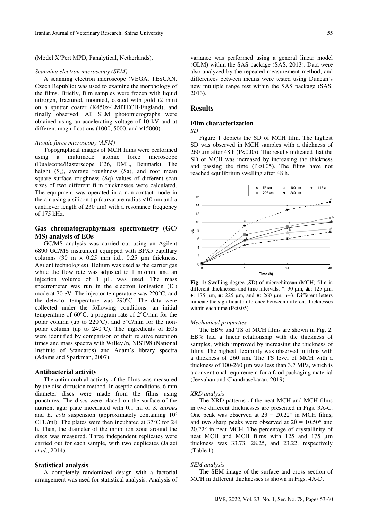(Model X'Pert MPD, Panalytical, Netherlands).

#### Scanning electron microscopy (SEM)

A scanning electron microscope (VEGA, TESCAN, Czech Republic) was used to examine the morphology of the films. Briefly, film samples were frozen with liquid nitrogen, fractured, mounted, coated with gold (2 min) on a sputter coater (K450x-EMITECH-England), and finally observed. All SEM photomicrographs were obtained using an accelerating voltage of 10 kV and at different magnifications (1000, 5000, and ×15000).

#### Atomic force microscopy (AFM)

Topographical images of MCH films were performed using a multimode atomic force microscope (Dualscope/Rasterscope C26, DME, Denmark). The height  $(S_z)$ , average roughness  $(Sa)$ , and root mean square surface roughness (Sq) values of different scan sizes of two different film thicknesses were calculated. The equipment was operated in a non-contact mode in the air using a silicon tip (curvature radius <10 nm and a cantilever length of  $230 \mu m$ ) with a resonance frequency of 175 kHz.

# Gas chromatography/mass spectrometry (GC/ MS) analysis of EOs

GC/MS analysis was carried out using an Agilent 6890 GC/MS instrument equipped with BPX5 capillary columns  $(30 \text{ m} \times 0.25 \text{ mm} \text{ i.d., } 0.25 \text{ µm} \text{ thickness, }$ Agilent technologies). Helium was used as the carrier gas while the flow rate was adjusted to 1 ml/min, and an injection volume of 1 µL was used. The mass spectrometer was run in the electron ionization (EI) mode at 70 eV. The injector temperature was 220°C, and the detector temperature was 290°C. The data were collected under the following conditions: an initial temperature of 60 $\degree$ C, a program rate of 2 $\degree$ C/min for the polar column (up to  $220^{\circ}$ C), and  $3^{\circ}$ C/min for the nonpolar column (up to  $240^{\circ}$ C). The ingredients of EOs were identified by comparison of their relative retention times and mass spectra with Willey7n, NIST98 (National Institute of Standards) and Adam's library spectra (Adams and Sparkman, 2007).

#### **Antibacterial activity**

The antimicrobial activity of the films was measured by the disc diffusion method. In a septic conditions, 6 mm diameter discs were made from the films using punctures. The discs were placed on the surface of the nutrient agar plate inoculated with 0.1 ml of S. aurous and E. coli suspension (approximately containing  $10<sup>6</sup>$ CFU/ml). The plates were then incubated at  $37^{\circ}$ C for 24 h. Then, the diameter of the inhibition zone around the discs was measured. Three independent replicates were carried out for each sample, with two duplicates (Jalaei et al., 2014).

## **Statistical analysis**

A completely randomized design with a factorial arrangement was used for statistical analysis. Analysis of variance was performed using a general linear model (GLM) within the SAS package (SAS, 2013). Data were also analyzed by the repeated measurement method, and differences between means were tested using Duncan's new multiple range test within the SAS package (SAS,  $2013$ ).

## **Results**

## **Film characterization**

 $SD$ 

Figure 1 depicts the SD of MCH film. The highest SD was observed in MCH samples with a thickness of 260  $\mu$ m after 48 h (P<0.05). The results indicated that the SD of MCH was increased by increasing the thickness and passing the time  $(P<0.05)$ . The films have not reached equilibrium swelling after 48 h.



Fig. 1: Swelling degree (SD) of microchitosan (MCH) film in different thicknesses and time intervals. \*: 90  $\mu$ m,  $\triangle$ : 125  $\mu$ m,  $\bullet$ : 175 µm,  $\blacksquare$ : 225 µm, and  $\bullet$ : 260 µm. n=3. Different letters indicate the significant difference between different thicknesses within each time  $(P<0.05)$ 

### **Mechanical properties**

The EB% and TS of MCH films are shown in Fig. 2. EB% had a linear relationship with the thickness of samples, which improved by increasing the thickness of films. The highest flexibility was observed in films with a thickness of 260 µm. The TS level of MCH with a thickness of 100-260  $\mu$ m was less than 3.7 MPa, which is a conventional requirement for a food packaging material (Jeevahan and Chandrasekaran, 2019).

## **XRD** analysis

The XRD patterns of the neat MCH and MCH films in two different thicknesses are presented in Figs. 3A-C. One peak was observed at  $2\theta = 20.22^{\circ}$  in MCH films, and two sharp peaks were observed at  $2\theta = 10.50^{\circ}$  and  $20.22^{\circ}$  in neat MCH. The percentage of crystallinity of neat MCH and MCH films with 125 and 175 µm thickness was 33.73, 28.25, and 23.22, respectively  $(Table 1)$ .

#### **SEM** analysis

The SEM image of the surface and cross section of MCH in different thicknesses is shown in Figs. 4A-D.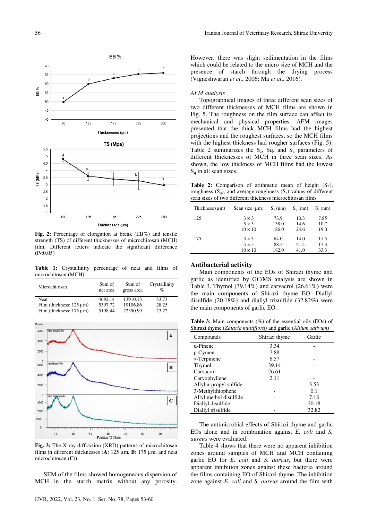

Fig. 2: Percentage of elongation at break (EB%) and tensile strength (TS) of different thicknesses of microchitosan (MCH) film. Different letters indicate the significant difference  $(P<0.05)$ 

Table 1: Crystallinity percentage of neat and films of microchitosan (MCH)

| Microchitosan                  | Sum of<br>net area | Sum of<br>gross area | Crystallinity<br>$\%$ |
|--------------------------------|--------------------|----------------------|-----------------------|
| <b>Neat</b>                    | 4692.14            | 13910.13             | 33.73                 |
| Film (thickness: $125 \mu m$ ) | 5397.72            | 19106.86             | 28.25                 |
| Film (thickness: $175 \mu m$ ) | 5198.44            | 22390.99             | 23.22                 |



Fig. 3: The X-ray diffraction (XRD) patterns of microchitosan films in different thicknesses (A:  $125 \mu m$ , B:  $175 \mu m$ , and neat microchitosan  $(C)$ 

SEM of the films showed homogeneous dispersion of MCH in the starch matrix without any porosity.

## AFM analysis

Topographical images of three different scan sizes of two different thicknesses of MCH films are shown in Fig. 5. The roughness on the film surface can affect its mechanical and physical properties. AFM images presented that the thick MCH films had the highest projections and the roughest surfaces, so the MCH films with the highest thickness had rougher surfaces (Fig. 5). Table 2 summarizes the  $S_z$ , Sq, and  $S_a$  parameters of different thicknesses of MCH in three scan sizes. As shown, the low thickness of MCH films had the lowest  $S_q$  in all scan sizes.

Table 2: Comparison of arithmetic mean of height (Sz), roughness  $(S_q)$ , and average roughness  $(S_a)$  values of different scan sizes of two different thickness microchitosan films

| Thickness (um) | Scan size $(\mu m)$ | $S_z$ (nm) | $S_{\alpha}(nm)$ | $S_a$ (nm) |
|----------------|---------------------|------------|------------------|------------|
| 125            | $3 \times 3$        | 73.9       | 10.3             | 7.85       |
|                | $5 \times 5$        | 138.0      | 14.6             | 10.7       |
|                | $10 \times 10$      | 186.0      | 24.6             | 19.0       |
| 175            | $3 \times 3$        | 64.0       | 14.0             | 11.5       |
|                | $5 \times 5$        | 88.5       | 21.4             | 17.3       |
|                | $10 \times 10$      | 182.0      | 41.0             | 33.3       |
|                |                     |            |                  |            |

## **Antibacterial activity**

Main components of the EOs of Shirazi thyme and garlic as identified by GC/MS analysis are shown in Table 3. Thymol (39.14%) and carvacrol  $(26.61\%)$  were the main components of Shirazi thyme EO. Diallyl disulfide  $(20.18\%)$  and diallyl trisulfide  $(32.82\%)$  were the main components of garlic EO.

**Table 3:** Main components  $(\%)$  of the essential oils (EOs) of Shirazi thyme (Zataria multiflora) and garlic (Allium sativum)

| Compounds              | Shirazi thyme | Garlic |
|------------------------|---------------|--------|
| $\alpha$ -Pinene       | 3.34          |        |
| $\rho$ -Cymen          | 7.88          |        |
| $\gamma$ -Terpinene    | 6.57          |        |
| Thymol                 | 39.14         |        |
| Carvacrol              | 26.61         |        |
| Caryophyllene          | 2.11          |        |
| Allyl n-propyl sulfide |               | 3.53   |
| 3-Methylthiophene      |               | 0.1    |
| Allyl methyl disulfide |               | 7.18   |
| Diallyl disulfide      |               | 20.18  |
| Diallyl trisulfide     |               | 32.82  |

The antimicrobial effects of Shirazi thyme and garlic EOs alone and in combination against  $E$ . *coli* and  $S$ . aureus were evaluated.

Table 4 shows that there were no apparent inhibition zones around samples of MCH and MCH containing garlic EO for E. coli and S. aureus, but there were apparent inhibition zones against these bacteria around the films containing EO of Shirazi thyme. The inhibition zone against  $E$ . *coli* and  $S$ . *aureus* around the film with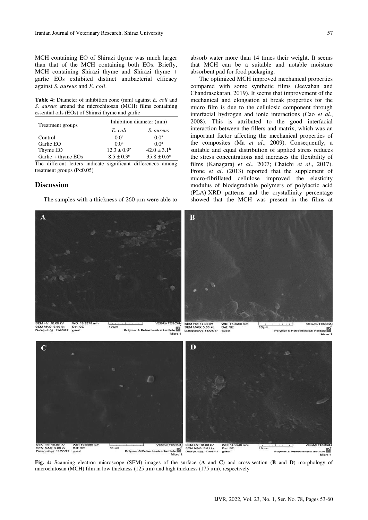MCH containing EO of Shirazi thyme was much larger than that of the MCH containing both EOs. Briefly, MCH containing Shirazi thyme and Shirazi thyme + garlic EOs exhibited distinct antibacterial efficacy against S. aureus and E. coli.

Table 4: Diameter of inhibition zone (mm) against E. coli and S. aureus around the microchitosan (MCH) films containing essential oils (EOs) of Shirazi thyme and garlic

| Treatment groups   | Inhibition diameter (mm) |                        |  |
|--------------------|--------------------------|------------------------|--|
|                    | E. coli                  | S. aureus              |  |
| Control            | 0.0 <sup>a</sup>         | 0.0 <sup>a</sup>       |  |
| Garlic EO          | 0.0 <sup>a</sup>         | 0.0 <sup>a</sup>       |  |
| Thyme EO           | $12.3 \pm 0.9^{\rm b}$   | $42.0 \pm 3.1^{\rm b}$ |  |
| Garlic + thyme EOs | $8.5 \pm 0.3^{\circ}$    | $35.8 \pm 0.6^{\circ}$ |  |

The different letters indicate significant differences among treatment groups  $(P<0.05)$ 

## **Discussion**

The samples with a thickness of  $260 \mu m$  were able to

absorb water more than 14 times their weight. It seems that MCH can be a suitable and notable moisture absorbent pad for food packaging.

The optimized MCH improved mechanical properties compared with some synthetic films (Jeevahan and Chandrasekaran, 2019). It seems that improvement of the mechanical and elongation at break properties for the micro film is due to the cellulosic component through interfacial hydrogen and ionic interactions (Cao et al., 2008). This is attributed to the good interfacial interaction between the fillers and matrix, which was an important factor affecting the mechanical properties of the composites (Ma et al., 2009). Consequently, a suitable and equal distribution of applied stress reduces the stress concentrations and increases the flexibility of films (Kanagaraj et al., 2007; Chaichi et al., 2017). Frone *et al.*  $(2013)$  reported that the supplement of micro-fibrillated cellulose improved the elasticity modulus of biodegradable polymers of polylactic acid (PLA) XRD patterns and the crystallinity percentage showed that the MCH was present in the films at



ner & Petrochemical Institute **Lite** Polymer & Petrochemical ins

Fig. 4: Scanning electron microscope (SEM) images of the surface (A and C) and cross-section (B and D) morphology of microchitosan (MCH) film in low thickness (125  $\mu$ m) and high thickness (175  $\mu$ m), respectively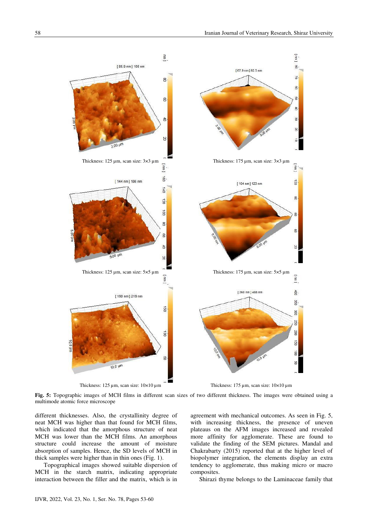

Thickness:  $125 \mu m$ , scan size:  $10 \times 10 \mu m$ 

Thickness:  $175 \mu m$ , scan size:  $10 \times 10 \mu m$ 

Fig. 5: Topographic images of MCH films in different scan sizes of two different thickness. The images were obtained using a multimode atomic force microscope

different thicknesses. Also, the crystallinity degree of neat MCH was higher than that found for MCH films, which indicated that the amorphous structure of neat MCH was lower than the MCH films. An amorphous structure could increase the amount of moisture absorption of samples. Hence, the SD levels of MCH in thick samples were higher than in thin ones (Fig. 1).

Topographical images showed suitable dispersion of MCH in the starch matrix, indicating appropriate interaction between the filler and the matrix, which is in agreement with mechanical outcomes. As seen in Fig. 5, with increasing thickness, the presence of uneven plateaus on the AFM images increased and revealed more affinity for agglomerate. These are found to validate the finding of the SEM pictures. Mandal and Chakrabarty (2015) reported that at the higher level of biopolymer integration, the elements display an extra tendency to agglomerate, thus making micro or macro composites.

Shirazi thyme belongs to the Laminaceae family that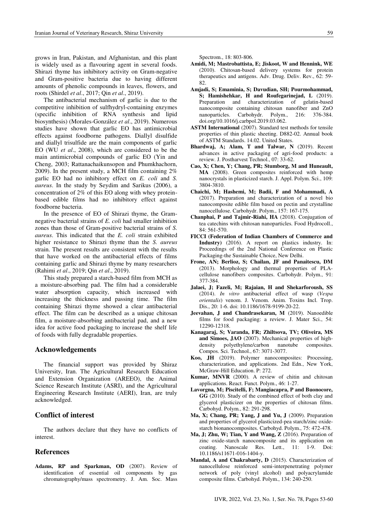grows in Iran, Pakistan, and Afghanistan, and this plant is widely used as a flavouring agent in several foods. Shirazi thyme has inhibitory activity on Gram-negative and Gram-positive bacteria due to having different amounts of phenolic compounds in leaves, flowers, and roots (Shirdel et al., 2017; Qin et al., 2019)

The antibacterial mechanism of garlic is due to the competitive inhibition of sulfhydryl-containing enzymes (specific inhibition of RNA synthesis and lipid biosynthesis) (Morales-González et al., 2019). Numerous studies have shown that garlic EO has antimicrobial effects against foodborne pathogens. Diallyl disulfide and diallyl trisulfide are the main components of garlic EO (WU et al., 2008), which are considered to be the main antimicrobial compounds of garlic EO (Yin and Cheng, 2003; Rattanachaikunsopon and Phumkhachorn, 2009). In the present study, a MCH film containing  $2\%$ garlic EO had no inhibitory effect on E. coli and S. *aureus*. In the study by Seydim and Sarikus (2006), a concentration of 2% of this EO along with whey proteinbased edible films had no inhibitory effect against foodborne bacteria.

In the presence of EO of Shirazi thyme, the Gramnegative bacterial strains of E. coli had smaller inhibition zones than those of Gram-positive bacterial strains of S. *aureus*. This indicated that the *E. coli* strain exhibited higher resistance to Shirazi thyme than the S. aureus strain. The present results are consistent with the results that have worked on the antibacterial effects of films containing garlic and Shirazi thyme by many researchers (Rahimi et al., 2019; Qin et al., 2019).

This study prepared a starch-based film from MCH as a moisture-absorbing pad. The film had a considerable water absorption capacity, which increased with increasing the thickness and passing time. The film containing Shirazi thyme showed a clear antibacterial effect. The film can be described as a unique chitosan film, a moisture-absorbing antibacterial pad, and a new idea for active food packaging to increase the shelf life of foods with fully degradable properties.

## **Acknowledgements**

The financial support was provided by Shiraz University, Iran. The Agricultural Research Education and Extension Organization (AREEO), the Animal Science Research Institute (ASRI), and the Agricultural Engineering Research Institute (AERI), Iran, are truly acknowledged.

# **Conflict of interest**

The authors declare that they have no conflicts of interest.

# **References**

Adams, RP and Sparkman, OD (2007). Review of identification of essential oil components by gas chromatography/mass spectrometry. J. Am. Soc. Mass Spectrom., 18: 803-806.

- Amidi, M; Mastrobattista, E; Jiskoot, W and Hennink, WE (2010). Chitosan-based delivery systems for protein therapeutics and antigens. Adv. Drug. Deliv. Rev., 62: 59-82
- Amjadi, S; Emaminia, S; Davudian, SH; Pourmohammad, S; Hamishehkar, H and Roufegarinejad, L (2019). Preparation and characterization of gelatin-based nanocomposite containing chitosan nanofiber and ZnO nanoparticles. Carbohydr. Polym., 216: 376-384. doi.org/10.1016/j.carbpol.2019.03.062.
- **ASTM International** (2007). Standard test methods for tensile properties of thin plastic sheeting, D882-02. Annual book of ASTM Standards. 14.02. United States.
- Bhardwaj, A; Alam, T and Talwar, N (2019). Recent advances in active packaging of agri-food products: a review. J. Postharvest Technol., 07: 33-62.
- Cao, X; Chen, Y; Chang, PR; Stumborg, M and Huneault, MA (2008). Green composites reinforced with hemp nanocrystals in plasticized starch. J. Appl. Polym. Sci., 109: 3804-3810.
- Chaichi, M; Hashemi, M; Badii, F and Mohammadi, A (2017). Preparation and characterization of a novel bio nanocomposite edible film based on pectin and crystalline nanocellulose. Carbohydr. Polym., 157: 167-175.
- Chanphai, P and Tajmir-Riahi, HA (2018). Conjugation of tea catechins with chitosan nanoparticles. Food Hydrocoll.,  $84:561-570$
- FICCI (Federation of Indian Chambers of Commerce and Industry) (2016). A report on plastics industry. In: Proceedings of the 2nd National Conference on Plastic Packaging-the Sustainable Choice, New Delhi.
- Frone, AN; Berlioz, S; Chailan, JF and Panaitescu, DM (2013). Morphology and thermal properties of PLAcellulose nanofibers composites. Carbohydr. Polym., 91: 377-384.
- Jalaei, J; Fazeli, M; Rajaian, H and Shekarforoush, SS (2014). In vitro antibacterial effect of wasp (Vespa orientalis) venom. J. Venom. Anim. Toxins Incl. Trop. Dis., 20: 1-6. doi: 10.1186/1678-9199-20-22.
- Jeevahan, J and Chandrasekaran, M (2019). Nanoedible films for food packaging: a review. J. Mater Sci., 54: 12290-12318.
- Kanagaraj, S; Varanda, FR; Zhiltsova, TV; Oliveira, MS and Simoes, JAO (2007). Mechanical properties of highdensity polyethylene/carbon nanotube composites. Compos. Sci. Technol., 67: 3071-3077.
- Koo, JH (2019). Polymer nanocomposites: Processing, characterization, and applications. 2nd Edn., New York, McGraw-Hill Education. P: 272.
- **Kumar, MNVR** (2000). A review of chitin and chitosan applications. React. Funct. Polym., 46: 1-27.
- Lavorgna, M; Piscitelli, F; Mangiacapra, P and Buonocore, GG (2010). Study of the combined effect of both clay and glycerol plasticizer on the properties of chitosan films. Carbohyd. Polym., 82: 291-298.
- Ma, X; Chang, PR; Yang, J and Yu, J (2009). Preparation and properties of glycerol plasticized-pea starch/zinc oxidestarch bionanocomposites. Carbohyd. Polym., 75: 472-478.
- Ma, J; Zhu, W; Tian, Y and Wang, Z (2016). Preparation of zinc oxide-starch nanocomposite and its application on Nanoscale Res. Lett., 11:  $1-9.$ coating. Doi: 10.1186/s11671-016-1404-y.
- Mandal, A and Chakrabarty, D (2015). Characterization of nanocellulose reinforced semi-interpenetrating polymer network of poly (vinyl alcohol) and polyacrylamide composite films. Carbohyd. Polym., 134: 240-250.